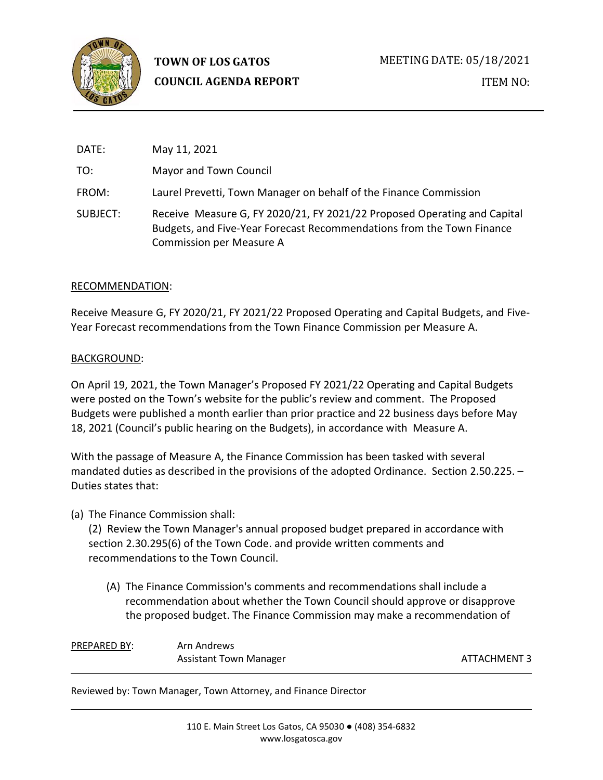

| DATE:    | May 11, 2021                                                                                                                                                                  |
|----------|-------------------------------------------------------------------------------------------------------------------------------------------------------------------------------|
| TO:      | Mayor and Town Council                                                                                                                                                        |
| FROM:    | Laurel Prevetti, Town Manager on behalf of the Finance Commission                                                                                                             |
| SUBJECT: | Receive Measure G, FY 2020/21, FY 2021/22 Proposed Operating and Capital<br>Budgets, and Five-Year Forecast Recommendations from the Town Finance<br>Commission per Measure A |

### RECOMMENDATION:

Receive Measure G, FY 2020/21, FY 2021/22 Proposed Operating and Capital Budgets, and Five-Year Forecast recommendations from the Town Finance Commission per Measure A.

### BACKGROUND:

On April 19, 2021, the Town Manager's Proposed FY 2021/22 Operating and Capital Budgets were posted on the Town's website for the public's review and comment. The Proposed Budgets were published a month earlier than prior practice and 22 business days before May 18, 2021 (Council's public hearing on the Budgets), in accordance with Measure A.

With the passage of Measure A, the Finance Commission has been tasked with several mandated duties as described in the provisions of the adopted Ordinance. Section 2.50.225. – Duties states that:

(a) The Finance Commission shall:

(2) Review the Town Manager's annual proposed budget prepared in accordance with section 2.30.295(6) of the Town Code. and provide written comments and recommendations to the Town Council.

(A) The Finance Commission's comments and recommendations shall include a recommendation about whether the Town Council should approve or disapprove the proposed budget. The Finance Commission may make a recommendation of

| <b>PREPARED BY:</b> | Arn Andrews                   |
|---------------------|-------------------------------|
|                     | <b>Assistant Town Manager</b> |

ATTACHMENT 3

Reviewed by: Town Manager, Town Attorney, and Finance Director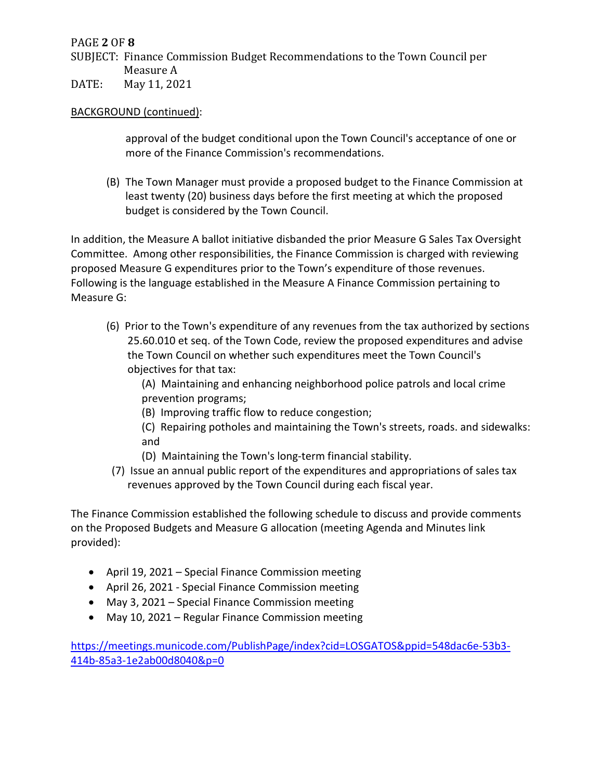# PAGE **2** OF **8**

SUBJECT: Finance Commission Budget Recommendations to the Town Council per Measure A

DATE: May 11, 2021

## BACKGROUND (continued):

approval of the budget conditional upon the Town Council's acceptance of one or more of the Finance Commission's recommendations.

(B) The Town Manager must provide a proposed budget to the Finance Commission at least twenty (20) business days before the first meeting at which the proposed budget is considered by the Town Council.

In addition, the Measure A ballot initiative disbanded the prior Measure G Sales Tax Oversight Committee. Among other responsibilities, the Finance Commission is charged with reviewing proposed Measure G expenditures prior to the Town's expenditure of those revenues. Following is the language established in the Measure A Finance Commission pertaining to Measure G:

(6) Prior to the Town's expenditure of any revenues from the tax authorized by sections 25.60.010 et seq. of the Town Code, review the proposed expenditures and advise the Town Council on whether such expenditures meet the Town Council's objectives for that tax:

(A) Maintaining and enhancing neighborhood police patrols and local crime prevention programs;

- (B) Improving traffic flow to reduce congestion;
- (C) Repairing potholes and maintaining the Town's streets, roads. and sidewalks: and
- (D) Maintaining the Town's long-term financial stability.
- (7) Issue an annual public report of the expenditures and appropriations of sales tax revenues approved by the Town Council during each fiscal year.

The Finance Commission established the following schedule to discuss and provide comments on the Proposed Budgets and Measure G allocation (meeting Agenda and Minutes link provided):

- April 19, 2021 Special Finance Commission meeting
- April 26, 2021 Special Finance Commission meeting
- May 3, 2021 Special Finance Commission meeting
- May 10, 2021 Regular Finance Commission meeting

[https://meetings.municode.com/PublishPage/index?cid=LOSGATOS&ppid=548dac6e-53b3-](https://meetings.municode.com/PublishPage/index?cid=LOSGATOS&ppid=548dac6e-53b3-414b-85a3-1e2ab00d8040&p=0) [414b-85a3-1e2ab00d8040&p=0](https://meetings.municode.com/PublishPage/index?cid=LOSGATOS&ppid=548dac6e-53b3-414b-85a3-1e2ab00d8040&p=0)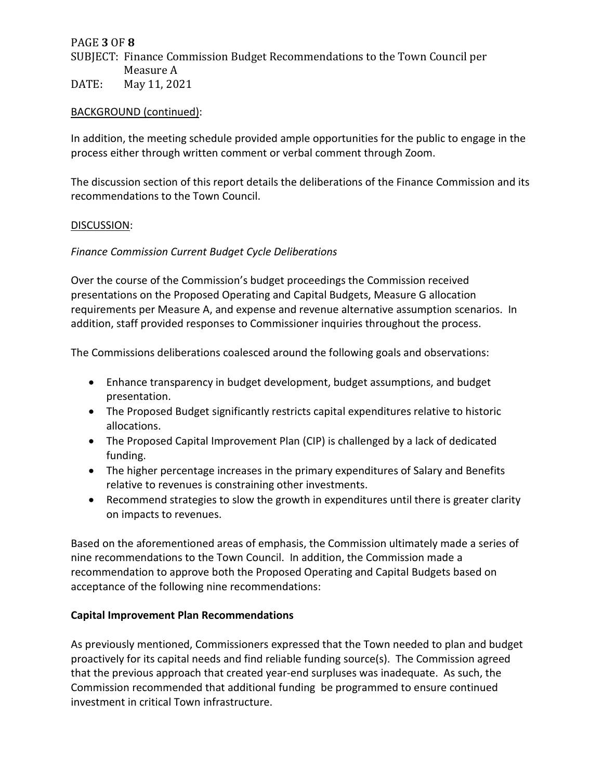### PAGE **3** OF **8**

SUBJECT: Finance Commission Budget Recommendations to the Town Council per Measure A

DATE: May 11, 2021

### BACKGROUND (continued):

In addition, the meeting schedule provided ample opportunities for the public to engage in the process either through written comment or verbal comment through Zoom.

The discussion section of this report details the deliberations of the Finance Commission and its recommendations to the Town Council.

### DISCUSSION:

### *Finance Commission Current Budget Cycle Deliberations*

Over the course of the Commission's budget proceedings the Commission received presentations on the Proposed Operating and Capital Budgets, Measure G allocation requirements per Measure A, and expense and revenue alternative assumption scenarios. In addition, staff provided responses to Commissioner inquiries throughout the process.

The Commissions deliberations coalesced around the following goals and observations:

- Enhance transparency in budget development, budget assumptions, and budget presentation.
- The Proposed Budget significantly restricts capital expenditures relative to historic allocations.
- The Proposed Capital Improvement Plan (CIP) is challenged by a lack of dedicated funding.
- The higher percentage increases in the primary expenditures of Salary and Benefits relative to revenues is constraining other investments.
- Recommend strategies to slow the growth in expenditures until there is greater clarity on impacts to revenues.

Based on the aforementioned areas of emphasis, the Commission ultimately made a series of nine recommendations to the Town Council. In addition, the Commission made a recommendation to approve both the Proposed Operating and Capital Budgets based on acceptance of the following nine recommendations:

### **Capital Improvement Plan Recommendations**

As previously mentioned, Commissioners expressed that the Town needed to plan and budget proactively for its capital needs and find reliable funding source(s). The Commission agreed that the previous approach that created year-end surpluses was inadequate. As such, the Commission recommended that additional funding be programmed to ensure continued investment in critical Town infrastructure.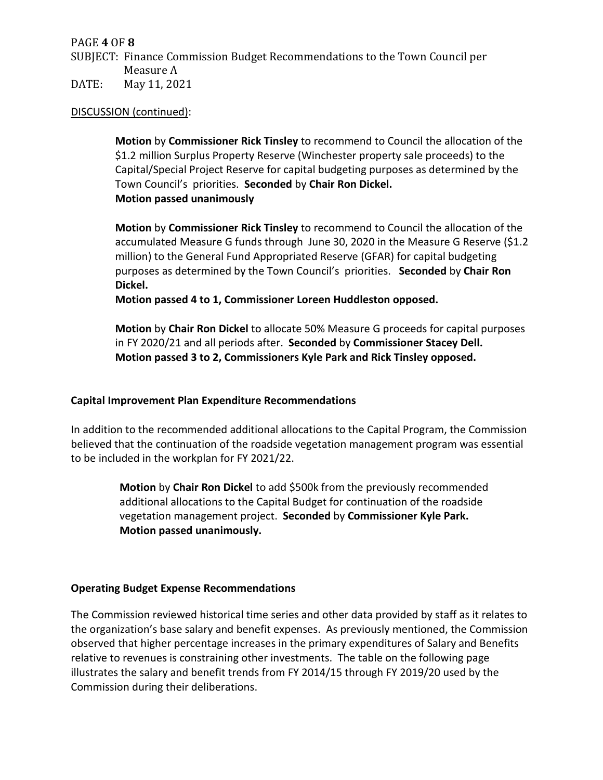PAGE **4** OF **8**

SUBJECT: Finance Commission Budget Recommendations to the Town Council per Measure A

DATE: May 11, 2021

### DISCUSSION (continued):

**Motion** by **Commissioner Rick Tinsley** to recommend to Council the allocation of the \$1.2 million Surplus Property Reserve (Winchester property sale proceeds) to the Capital/Special Project Reserve for capital budgeting purposes as determined by the Town Council's priorities. **Seconded** by **Chair Ron Dickel. Motion passed unanimously**

**Motion** by **Commissioner Rick Tinsley** to recommend to Council the allocation of the accumulated Measure G funds through June 30, 2020 in the Measure G Reserve (\$1.2 million) to the General Fund Appropriated Reserve (GFAR) for capital budgeting purposes as determined by the Town Council's priorities. **Seconded** by **Chair Ron Dickel.**

**Motion passed 4 to 1, Commissioner Loreen Huddleston opposed.**

**Motion** by **Chair Ron Dickel** to allocate 50% Measure G proceeds for capital purposes in FY 2020/21 and all periods after. **Seconded** by **Commissioner Stacey Dell. Motion passed 3 to 2, Commissioners Kyle Park and Rick Tinsley opposed.** 

### **Capital Improvement Plan Expenditure Recommendations**

In addition to the recommended additional allocations to the Capital Program, the Commission believed that the continuation of the roadside vegetation management program was essential to be included in the workplan for FY 2021/22.

> **Motion** by **Chair Ron Dickel** to add \$500k from the previously recommended additional allocations to the Capital Budget for continuation of the roadside vegetation management project. **Seconded** by **Commissioner Kyle Park. Motion passed unanimously.**

### **Operating Budget Expense Recommendations**

The Commission reviewed historical time series and other data provided by staff as it relates to the organization's base salary and benefit expenses. As previously mentioned, the Commission observed that higher percentage increases in the primary expenditures of Salary and Benefits relative to revenues is constraining other investments. The table on the following page illustrates the salary and benefit trends from FY 2014/15 through FY 2019/20 used by the Commission during their deliberations.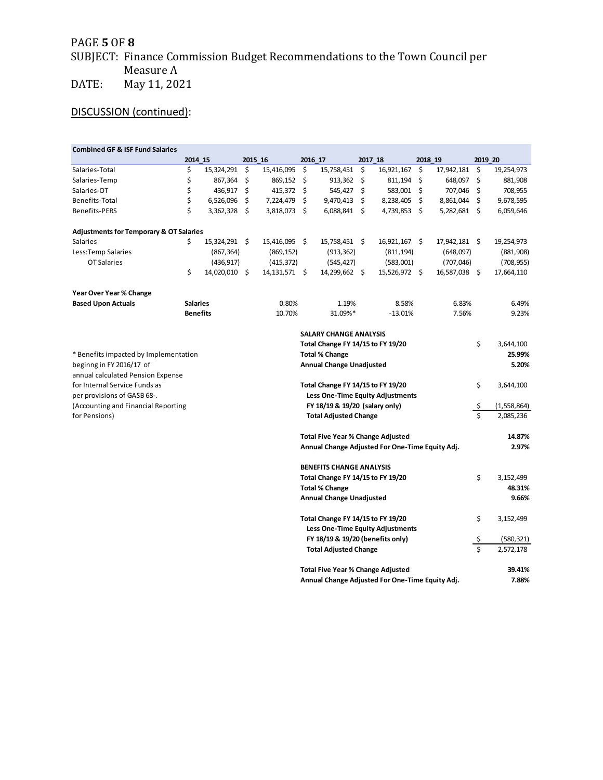# PAGE **5** OF **8**

# SUBJECT: Finance Commission Budget Recommendations to the Town Council per Measure A

DATE: May 11, 2021

# DISCUSSION (continued):

| <b>Combined GF &amp; ISF Fund Salaries</b>         |                                  |               |    |                 |                                          |                                                 |    |               |            |               |           |               |
|----------------------------------------------------|----------------------------------|---------------|----|-----------------|------------------------------------------|-------------------------------------------------|----|---------------|------------|---------------|-----------|---------------|
|                                                    | 2014 15                          |               |    | 2015 16         |                                          | 2016 17                                         |    | 2017 18       | 2018 19    |               | 2019 20   |               |
| Salaries-Total                                     | \$                               | 15,324,291    | \$ | 15,416,095      | \$                                       | 15,758,451                                      | \$ | 16,921,167    | -\$        | 17,942,181    | \$        | 19,254,973    |
| Salaries-Temp                                      | \$                               | 867,364       | \$ | 869,152         | \$                                       | 913,362                                         | \$ | 811,194       | -\$        | 648,097       | \$        | 881,908       |
| Salaries-OT                                        | \$                               | 436,917       | \$ | 415,372 \$      |                                          | 545,427                                         | \$ | 583,001       | - \$       | 707,046       | \$        | 708,955       |
| Benefits-Total                                     | \$                               | 6,526,096     | \$ | 7,224,479       | \$                                       | 9,470,413                                       | Ŝ. | 8,238,405     | Ŝ.         | 8,861,044     | \$        | 9,678,595     |
| <b>Benefits-PERS</b>                               | Ś                                | 3,362,328     | \$ | 3,818,073 \$    |                                          | $6,088,841$ \$                                  |    | 4,739,853 \$  |            | 5,282,681 \$  |           | 6,059,646     |
| <b>Adjustments for Temporary &amp; OT Salaries</b> |                                  |               |    |                 |                                          |                                                 |    |               |            |               |           |               |
| <b>Salaries</b>                                    | \$                               | 15,324,291 \$ |    | 15,416,095 \$   |                                          | 15,758,451 \$                                   |    | 16,921,167 \$ |            | 17,942,181 \$ |           | 19,254,973    |
| Less: Temp Salaries                                |                                  | (867, 364)    |    | (869, 152)      |                                          | (913, 362)                                      |    | (811, 194)    |            | (648,097)     |           | (881,908)     |
| OT Salaries                                        |                                  | (436, 917)    |    | (415, 372)      |                                          | (545, 427)                                      |    | (583,001)     |            | (707, 046)    |           | (708, 955)    |
|                                                    | \$                               | 14,020,010 \$ |    | 14, 131, 571 \$ |                                          | 14,299,662 \$                                   |    | 15,526,972 \$ |            | 16,587,038 \$ |           | 17,664,110    |
| <b>Year Over Year % Change</b>                     |                                  |               |    |                 |                                          |                                                 |    |               |            |               |           |               |
| <b>Based Upon Actuals</b>                          | <b>Salaries</b>                  |               |    | 0.80%           |                                          | 1.19%                                           |    | 8.58%         |            | 6.83%         |           | 6.49%         |
|                                                    | <b>Benefits</b>                  |               |    | 10.70%          |                                          | 31.09%*                                         |    | $-13.01%$     |            | 7.56%         |           | 9.23%         |
|                                                    |                                  |               |    |                 |                                          | <b>SALARY CHANGE ANALYSIS</b>                   |    |               |            |               |           |               |
|                                                    |                                  |               |    |                 |                                          | Total Change FY 14/15 to FY 19/20               |    |               |            |               | \$        | 3,644,100     |
| * Benefits impacted by Implementation              |                                  |               |    |                 | <b>Total % Change</b>                    |                                                 |    |               |            |               |           | 25.99%        |
| beginng in FY 2016/17 of                           |                                  |               |    |                 | <b>Annual Change Unadjusted</b>          |                                                 |    |               |            |               | 5.20%     |               |
| annual calculated Pension Expense                  |                                  |               |    |                 |                                          |                                                 |    |               |            |               |           |               |
| for Internal Service Funds as                      |                                  |               |    |                 | Total Change FY 14/15 to FY 19/20        |                                                 |    |               |            |               | \$        | 3,644,100     |
| per provisions of GASB 68-.                        |                                  |               |    |                 | Less One-Time Equity Adjustments         |                                                 |    |               |            |               |           |               |
| (Accounting and Financial Reporting                |                                  |               |    |                 | FY 18/19 & 19/20 (salary only)           |                                                 |    |               |            |               | \$        | (1, 558, 864) |
| for Pensions)                                      |                                  |               |    |                 |                                          | <b>Total Adjusted Change</b>                    |    |               |            |               | \$        | 2,085,236     |
|                                                    |                                  |               |    |                 |                                          | <b>Total Five Year % Change Adjusted</b>        |    |               |            |               |           | 14.87%        |
|                                                    |                                  |               |    |                 |                                          | Annual Change Adjusted For One-Time Equity Adj. |    |               |            |               |           | 2.97%         |
|                                                    |                                  |               |    |                 |                                          | <b>BENEFITS CHANGE ANALYSIS</b>                 |    |               |            |               |           |               |
|                                                    |                                  |               |    |                 | Total Change FY 14/15 to FY 19/20        |                                                 |    |               |            | \$            | 3,152,499 |               |
|                                                    |                                  |               |    |                 | <b>Total % Change</b>                    |                                                 |    |               |            |               |           | 48.31%        |
|                                                    | <b>Annual Change Unadjusted</b>  |               |    |                 |                                          |                                                 |    | 9.66%         |            |               |           |               |
|                                                    |                                  |               |    |                 |                                          | Total Change FY 14/15 to FY 19/20               |    |               |            |               | \$        | 3,152,499     |
|                                                    |                                  |               |    |                 |                                          | Less One-Time Equity Adjustments                |    |               |            |               |           |               |
|                                                    | FY 18/19 & 19/20 (benefits only) |               |    |                 |                                          |                                                 |    | Ş             | (580, 321) |               |           |               |
|                                                    | <b>Total Adjusted Change</b>     |               |    |                 |                                          |                                                 | Ś  | 2,572,178     |            |               |           |               |
|                                                    |                                  |               |    |                 | <b>Total Five Year % Change Adjusted</b> |                                                 |    |               |            | 39.41%        |           |               |
|                                                    |                                  |               |    |                 |                                          | Annual Change Adjusted For One-Time Equity Adj. |    |               |            |               |           | 7.88%         |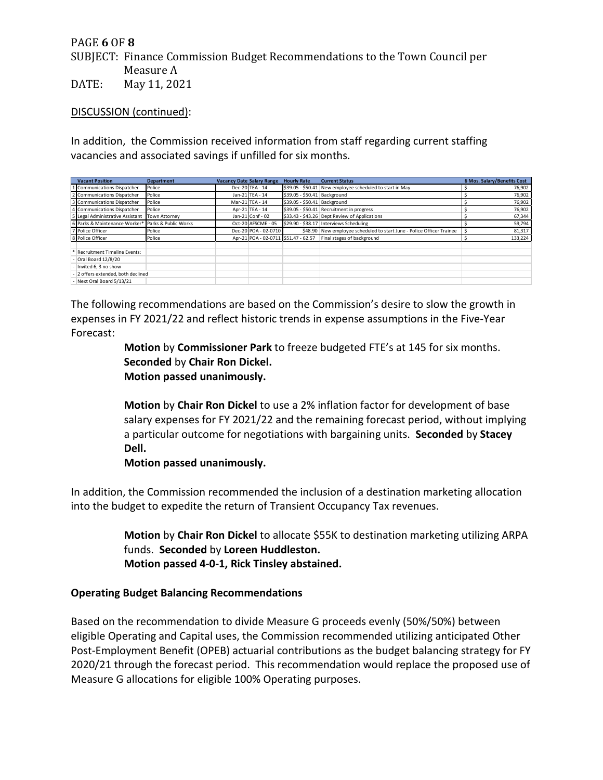# PAGE **6** OF **8**

SUBJECT: Finance Commission Budget Recommendations to the Town Council per Measure A

DATE: May 11, 2021

DISCUSSION (continued):

In addition, the Commission received information from staff regarding current staffing vacancies and associated savings if unfilled for six months.

| <b>Vacant Position</b>                             | <b>Department</b> | <b>Vacancy Date Salary Range</b> | <b>Hourly Rate</b>           | <b>Current Status</b>                                                 | 6 Mos. Salary/Benefits Cost |
|----------------------------------------------------|-------------------|----------------------------------|------------------------------|-----------------------------------------------------------------------|-----------------------------|
| 1 Communications Dispatcher                        | Police            | Dec-20 TEA - 14                  |                              | \$39.05 - \$50.41 New employee scheduled to start in May              | 76,902                      |
| 2 Communications Dispatcher                        | Police            | Jan-21 TEA - 14                  | \$39.05 - \$50.41 Background |                                                                       | 76,902                      |
| 3 Communications Dispatcher                        | Police            | Mar-21 TEA - 14                  | \$39.05 - \$50.41 Background |                                                                       | 76,902                      |
| 4 Communications Dispatcher                        | Police            | Apr-21 TEA - 14                  |                              | \$39.05 - \$50.41 Recruitment in progress                             | 76,902                      |
| 5 Legal Administrative Assistant                   | Town Attorney     | Jan-21 Conf - 02                 |                              | \$33.43 - \$43.26 Dept Review of Applications                         | 67,344                      |
| 6 Parks & Maintenance Worker* Parks & Public Works |                   | Oct-20 AFSCME - 05               |                              | \$29.90 - \$38.17 Interviews Scheduling                               | 59,794                      |
| 7 Police Officer                                   | Police            | Dec-20 POA - 02-0710             |                              | \$48.90 New employee scheduled to start June - Police Officer Trainee | 81,317                      |
| 8 Police Officer                                   | Police            |                                  |                              | Apr-21 POA - 02-0711 \$51.47 - 62.57 Final stages of background       | 133,224                     |
| <b>Recruitment Timeline Events:</b>                |                   |                                  |                              |                                                                       |                             |
| - Oral Board 12/8/20                               |                   |                                  |                              |                                                                       |                             |
| - Invited 6, 3 no show                             |                   |                                  |                              |                                                                       |                             |
| - 2 offers extended, both declined                 |                   |                                  |                              |                                                                       |                             |
| - Next Oral Board 5/13/21                          |                   |                                  |                              |                                                                       |                             |

The following recommendations are based on the Commission's desire to slow the growth in expenses in FY 2021/22 and reflect historic trends in expense assumptions in the Five-Year Forecast:

> **Motion** by **Commissioner Park** to freeze budgeted FTE's at 145 for six months. **Seconded** by **Chair Ron Dickel. Motion passed unanimously.**

**Motion** by **Chair Ron Dickel** to use a 2% inflation factor for development of base salary expenses for FY 2021/22 and the remaining forecast period, without implying a particular outcome for negotiations with bargaining units. **Seconded** by **Stacey Dell.**

**Motion passed unanimously.**

In addition, the Commission recommended the inclusion of a destination marketing allocation into the budget to expedite the return of Transient Occupancy Tax revenues.

> **Motion** by **Chair Ron Dickel** to allocate \$55K to destination marketing utilizing ARPA funds. **Seconded** by **Loreen Huddleston. Motion passed 4-0-1, Rick Tinsley abstained.**

# **Operating Budget Balancing Recommendations**

Based on the recommendation to divide Measure G proceeds evenly (50%/50%) between eligible Operating and Capital uses, the Commission recommended utilizing anticipated Other Post-Employment Benefit (OPEB) actuarial contributions as the budget balancing strategy for FY 2020/21 through the forecast period. This recommendation would replace the proposed use of Measure G allocations for eligible 100% Operating purposes.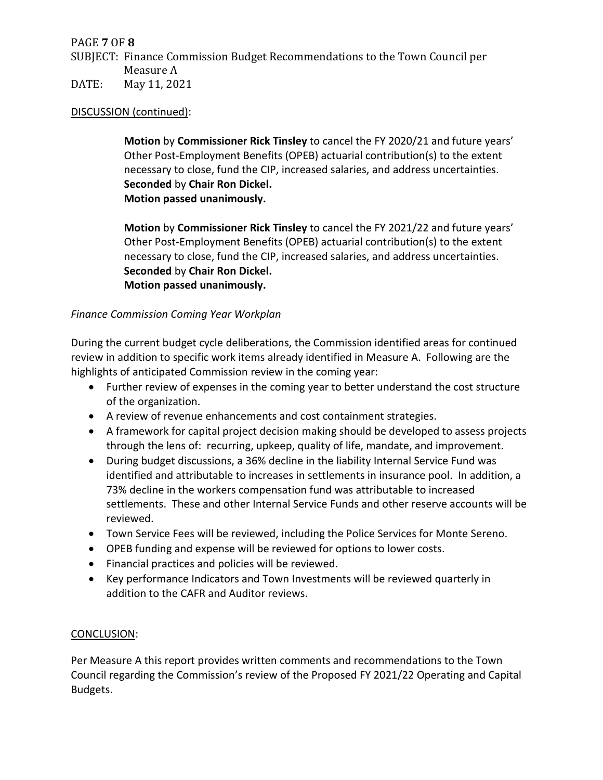# PAGE **7** OF **8**

SUBJECT: Finance Commission Budget Recommendations to the Town Council per Measure A

DATE: May 11, 2021

### DISCUSSION (continued):

**Motion** by **Commissioner Rick Tinsley** to cancel the FY 2020/21 and future years' Other Post-Employment Benefits (OPEB) actuarial contribution(s) to the extent necessary to close, fund the CIP, increased salaries, and address uncertainties. **Seconded** by **Chair Ron Dickel. Motion passed unanimously.**

**Motion** by **Commissioner Rick Tinsley** to cancel the FY 2021/22 and future years' Other Post-Employment Benefits (OPEB) actuarial contribution(s) to the extent necessary to close, fund the CIP, increased salaries, and address uncertainties. **Seconded** by **Chair Ron Dickel. Motion passed unanimously.**

### *Finance Commission Coming Year Workplan*

During the current budget cycle deliberations, the Commission identified areas for continued review in addition to specific work items already identified in Measure A. Following are the highlights of anticipated Commission review in the coming year:

- Further review of expenses in the coming year to better understand the cost structure of the organization.
- A review of revenue enhancements and cost containment strategies.
- A framework for capital project decision making should be developed to assess projects through the lens of: recurring, upkeep, quality of life, mandate, and improvement.
- During budget discussions, a 36% decline in the liability Internal Service Fund was identified and attributable to increases in settlements in insurance pool. In addition, a 73% decline in the workers compensation fund was attributable to increased settlements. These and other Internal Service Funds and other reserve accounts will be reviewed.
- Town Service Fees will be reviewed, including the Police Services for Monte Sereno.
- OPEB funding and expense will be reviewed for options to lower costs.
- Financial practices and policies will be reviewed.
- Key performance Indicators and Town Investments will be reviewed quarterly in addition to the CAFR and Auditor reviews.

### CONCLUSION:

Per Measure A this report provides written comments and recommendations to the Town Council regarding the Commission's review of the Proposed FY 2021/22 Operating and Capital Budgets.